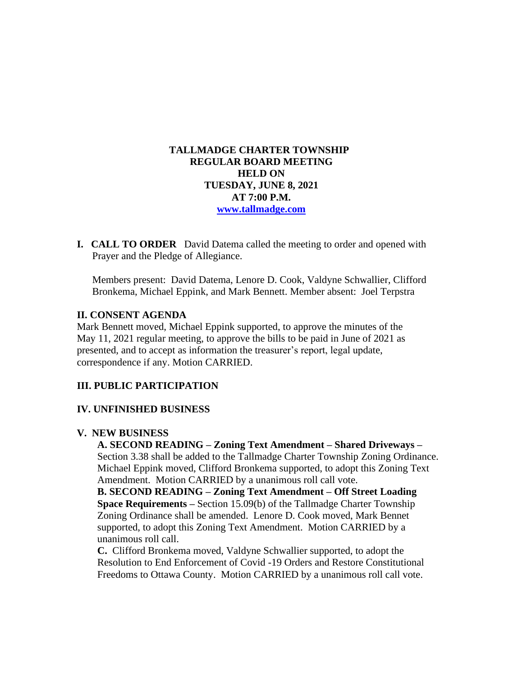## **TALLMADGE CHARTER TOWNSHIP REGULAR BOARD MEETING HELD ON TUESDAY, JUNE 8, 2021 AT 7:00 P.M. [www.tallmadge.com](http://www.tallmadge.com/)**

**I. CALL TO ORDER** David Datema called the meeting to order and opened with Prayer and the Pledge of Allegiance.

Members present: David Datema, Lenore D. Cook, Valdyne Schwallier, Clifford Bronkema, Michael Eppink, and Mark Bennett. Member absent: Joel Terpstra

### **II. CONSENT AGENDA**

Mark Bennett moved, Michael Eppink supported, to approve the minutes of the May 11, 2021 regular meeting, to approve the bills to be paid in June of 2021 as presented, and to accept as information the treasurer's report, legal update, correspondence if any. Motion CARRIED.

## **III. PUBLIC PARTICIPATION**

#### **IV. UNFINISHED BUSINESS**

#### **V. NEW BUSINESS**

 **A. SECOND READING – Zoning Text Amendment – Shared Driveways –** Section 3.38 shall be added to the Tallmadge Charter Township Zoning Ordinance. Michael Eppink moved, Clifford Bronkema supported, to adopt this Zoning Text Amendment. Motion CARRIED by a unanimous roll call vote.

 **B. SECOND READING – Zoning Text Amendment – Off Street Loading Space Requirements –** Section 15.09(b) of the Tallmadge Charter Township Zoning Ordinance shall be amended. Lenore D. Cook moved, Mark Bennet supported, to adopt this Zoning Text Amendment. Motion CARRIED by a unanimous roll call.

 **C.** Clifford Bronkema moved, Valdyne Schwallier supported, to adopt the Resolution to End Enforcement of Covid -19 Orders and Restore Constitutional Freedoms to Ottawa County. Motion CARRIED by a unanimous roll call vote.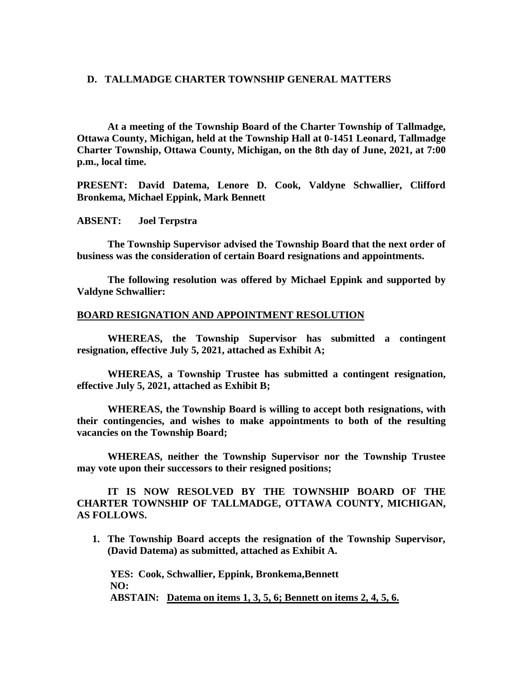#### **D. TALLMADGE CHARTER TOWNSHIP GENERAL MATTERS**

**At a meeting of the Township Board of the Charter Township of Tallmadge, Ottawa County, Michigan, held at the Township Hall at 0-1451 Leonard, Tallmadge Charter Township, Ottawa County, Michigan, on the 8th day of June, 2021, at 7:00 p.m., local time.**

**PRESENT: David Datema, Lenore D. Cook, Valdyne Schwallier, Clifford Bronkema, Michael Eppink, Mark Bennett**

**ABSENT: Joel Terpstra**

**The Township Supervisor advised the Township Board that the next order of business was the consideration of certain Board resignations and appointments.**

**The following resolution was offered by Michael Eppink and supported by Valdyne Schwallier:**

### **BOARD RESIGNATION AND APPOINTMENT RESOLUTION**

**WHEREAS, the Township Supervisor has submitted a contingent resignation, effective July 5, 2021, attached as Exhibit A;** 

**WHEREAS, a Township Trustee has submitted a contingent resignation, effective July 5, 2021, attached as Exhibit B;**

**WHEREAS, the Township Board is willing to accept both resignations, with their contingencies, and wishes to make appointments to both of the resulting vacancies on the Township Board;** 

**WHEREAS, neither the Township Supervisor nor the Township Trustee may vote upon their successors to their resigned positions;** 

**IT IS NOW RESOLVED BY THE TOWNSHIP BOARD OF THE CHARTER TOWNSHIP OF TALLMADGE, OTTAWA COUNTY, MICHIGAN, AS FOLLOWS.**

**1. The Township Board accepts the resignation of the Township Supervisor, (David Datema) as submitted, attached as Exhibit A.**

 **YES: Cook, Schwallier, Eppink, Bronkema,Bennett NO: ABSTAIN: Datema on items 1, 3, 5, 6; Bennett on items 2, 4, 5, 6.**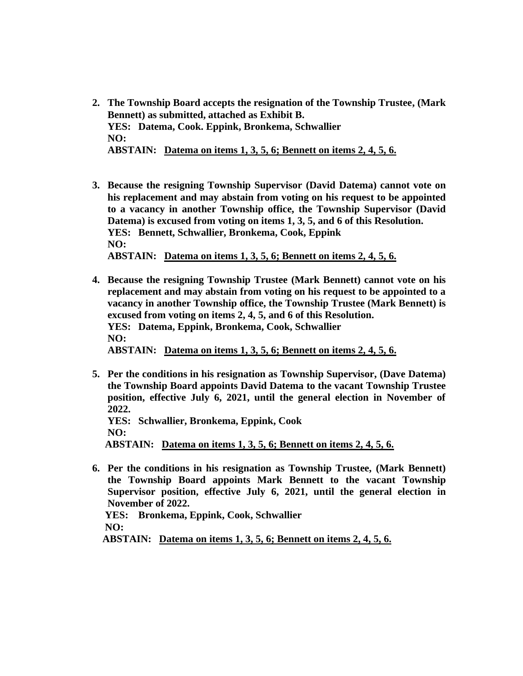- **2. The Township Board accepts the resignation of the Township Trustee, (Mark Bennett) as submitted, attached as Exhibit B. YES: Datema, Cook. Eppink, Bronkema, Schwallier NO: ABSTAIN: Datema on items 1, 3, 5, 6; Bennett on items 2, 4, 5, 6.**
- **3. Because the resigning Township Supervisor (David Datema) cannot vote on his replacement and may abstain from voting on his request to be appointed to a vacancy in another Township office, the Township Supervisor (David Datema) is excused from voting on items 1, 3, 5, and 6 of this Resolution. YES: Bennett, Schwallier, Bronkema, Cook, Eppink NO: ABSTAIN: Datema on items 1, 3, 5, 6; Bennett on items 2, 4, 5, 6.**
- **4. Because the resigning Township Trustee (Mark Bennett) cannot vote on his replacement and may abstain from voting on his request to be appointed to a vacancy in another Township office, the Township Trustee (Mark Bennett) is excused from voting on items 2, 4, 5, and 6 of this Resolution. YES: Datema, Eppink, Bronkema, Cook, Schwallier NO: ABSTAIN: Datema on items 1, 3, 5, 6; Bennett on items 2, 4, 5, 6.**
- **5. Per the conditions in his resignation as Township Supervisor, (Dave Datema) the Township Board appoints David Datema to the vacant Township Trustee position, effective July 6, 2021, until the general election in November of 2022. YES: Schwallier, Bronkema, Eppink, Cook NO:**

 **ABSTAIN: Datema on items 1, 3, 5, 6; Bennett on items 2, 4, 5, 6.** 

**6. Per the conditions in his resignation as Township Trustee, (Mark Bennett) the Township Board appoints Mark Bennett to the vacant Township Supervisor position, effective July 6, 2021, until the general election in November of 2022. YES: Bronkema, Eppink, Cook, Schwallier NO:**

 **ABSTAIN: Datema on items 1, 3, 5, 6; Bennett on items 2, 4, 5, 6.**